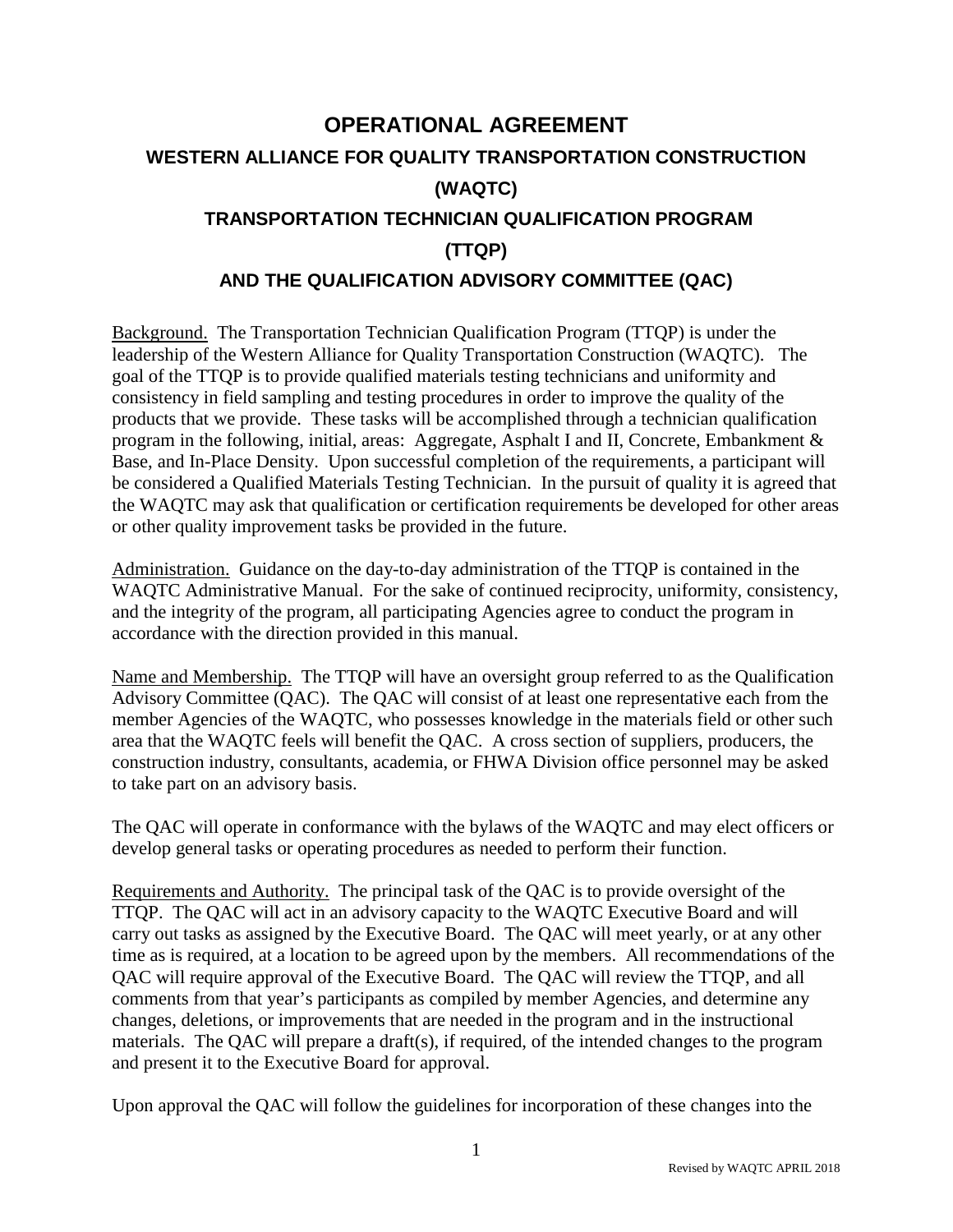## **OPERATIONAL AGREEMENT WESTERN ALLIANCE FOR QUALITY TRANSPORTATION CONSTRUCTION (WAQTC) TRANSPORTATION TECHNICIAN QUALIFICATION PROGRAM (TTQP) AND THE QUALIFICATION ADVISORY COMMITTEE (QAC)**

Background. The Transportation Technician Qualification Program (TTQP) is under the leadership of the Western Alliance for Quality Transportation Construction (WAQTC). The goal of the TTQP is to provide qualified materials testing technicians and uniformity and consistency in field sampling and testing procedures in order to improve the quality of the products that we provide. These tasks will be accomplished through a technician qualification program in the following, initial, areas: Aggregate, Asphalt I and II, Concrete, Embankment & Base, and In-Place Density. Upon successful completion of the requirements, a participant will be considered a Qualified Materials Testing Technician. In the pursuit of quality it is agreed that the WAQTC may ask that qualification or certification requirements be developed for other areas or other quality improvement tasks be provided in the future.

Administration. Guidance on the day-to-day administration of the TTQP is contained in the WAQTC Administrative Manual. For the sake of continued reciprocity, uniformity, consistency, and the integrity of the program, all participating Agencies agree to conduct the program in accordance with the direction provided in this manual.

Name and Membership. The TTQP will have an oversight group referred to as the Qualification Advisory Committee (QAC). The QAC will consist of at least one representative each from the member Agencies of the WAQTC, who possesses knowledge in the materials field or other such area that the WAQTC feels will benefit the QAC. A cross section of suppliers, producers, the construction industry, consultants, academia, or FHWA Division office personnel may be asked to take part on an advisory basis.

The QAC will operate in conformance with the bylaws of the WAQTC and may elect officers or develop general tasks or operating procedures as needed to perform their function.

Requirements and Authority. The principal task of the QAC is to provide oversight of the TTQP. The QAC will act in an advisory capacity to the WAQTC Executive Board and will carry out tasks as assigned by the Executive Board. The QAC will meet yearly, or at any other time as is required, at a location to be agreed upon by the members. All recommendations of the QAC will require approval of the Executive Board. The QAC will review the TTQP, and all comments from that year's participants as compiled by member Agencies, and determine any changes, deletions, or improvements that are needed in the program and in the instructional materials. The QAC will prepare a draft(s), if required, of the intended changes to the program and present it to the Executive Board for approval.

Upon approval the QAC will follow the guidelines for incorporation of these changes into the